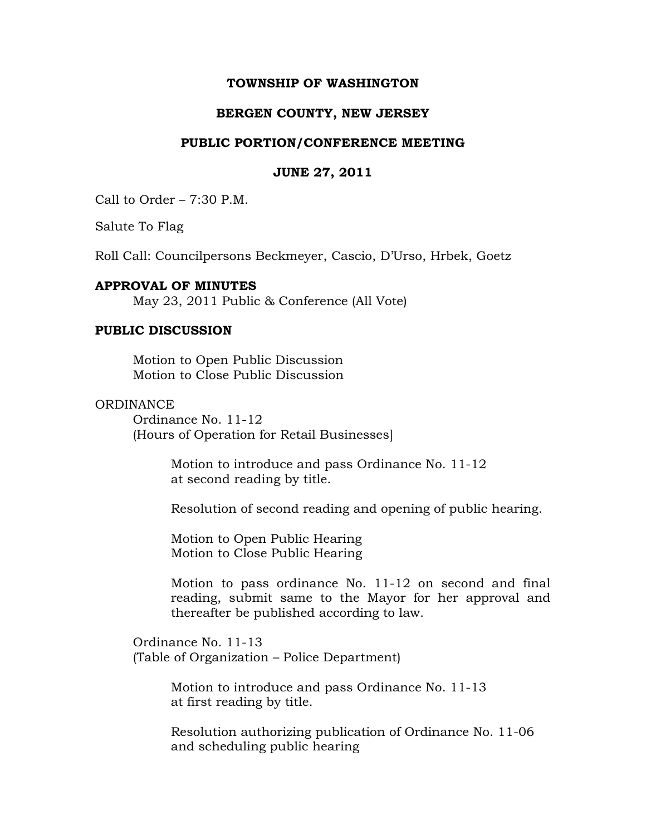# **TOWNSHIP OF WASHINGTON**

# **BERGEN COUNTY, NEW JERSEY**

#### **PUBLIC PORTION/CONFERENCE MEETING**

#### **JUNE 27, 2011**

Call to Order – 7:30 P.M.

Salute To Flag

Roll Call: Councilpersons Beckmeyer, Cascio, D'Urso, Hrbek, Goetz

### **APPROVAL OF MINUTES**

May 23, 2011 Public & Conference (All Vote)

# **PUBLIC DISCUSSION**

Motion to Open Public Discussion Motion to Close Public Discussion

#### **ORDINANCE**

Ordinance No. 11-12 (Hours of Operation for Retail Businesses]

> Motion to introduce and pass Ordinance No. 11-12 at second reading by title.

Resolution of second reading and opening of public hearing.

Motion to Open Public Hearing Motion to Close Public Hearing

Motion to pass ordinance No. 11-12 on second and final reading, submit same to the Mayor for her approval and thereafter be published according to law.

Ordinance No. 11-13 (Table of Organization – Police Department)

> Motion to introduce and pass Ordinance No. 11-13 at first reading by title.

Resolution authorizing publication of Ordinance No. 11-06 and scheduling public hearing